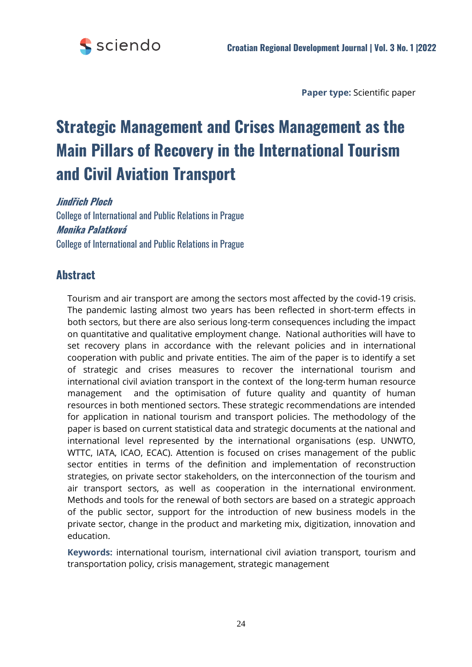

**Paper type:** Scientific paper

# **Strategic Management and Crises Management as the Main Pillars of Recovery in the International Tourism and Civil Aviation Transport**

**Jindřich Ploch** 

College of International and Public Relations in Prague **Monika Palatková**  College of International and Public Relations in Prague

# **Abstract**

Tourism and air transport are among the sectors most affected by the covid-19 crisis. The pandemic lasting almost two years has been reflected in short-term effects in both sectors, but there are also serious long-term consequences including the impact on quantitative and qualitative employment change. National authorities will have to set recovery plans in accordance with the relevant policies and in international cooperation with public and private entities. The aim of the paper is to identify a set of strategic and crises measures to recover the international tourism and international civil aviation transport in the context of the long-term human resource management and the optimisation of future quality and quantity of human resources in both mentioned sectors. These strategic recommendations are intended for application in national tourism and transport policies. The methodology of the paper is based on current statistical data and strategic documents at the national and international level represented by the international organisations (esp. UNWTO, WTTC, IATA, ICAO, ECAC). Attention is focused on crises management of the public sector entities in terms of the definition and implementation of reconstruction strategies, on private sector stakeholders, on the interconnection of the tourism and air transport sectors, as well as cooperation in the international environment. Methods and tools for the renewal of both sectors are based on a strategic approach of the public sector, support for the introduction of new business models in the private sector, change in the product and marketing mix, digitization, innovation and education.

**Keywords:** international tourism, international civil aviation transport, tourism and transportation policy, crisis management, strategic management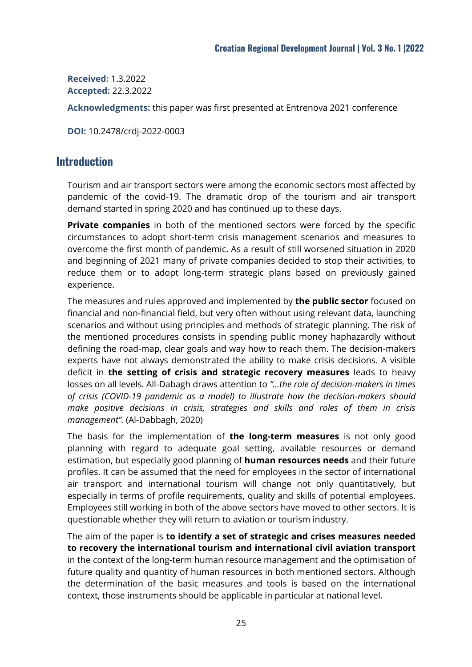**Received:** 1.3.2022 **Accepted:** 22.3.2022

**Acknowledgments:** this paper was first presented at Entrenova 2021 conference

**DOI:** 10.2478/crdj-2022-0003

### **Introduction**

Tourism and air transport sectors were among the economic sectors most affected by pandemic of the covid-19. The dramatic drop of the tourism and air transport demand started in spring 2020 and has continued up to these days.

**Private companies** in both of the mentioned sectors were forced by the specific circumstances to adopt short-term crisis management scenarios and measures to overcome the first month of pandemic. As a result of still worsened situation in 2020 and beginning of 2021 many of private companies decided to stop their activities, to reduce them or to adopt long-term strategic plans based on previously gained experience.

The measures and rules approved and implemented by **the public sector** focused on financial and non-financial field, but very often without using relevant data, launching scenarios and without using principles and methods of strategic planning. The risk of the mentioned procedures consists in spending public money haphazardly without defining the road-map, clear goals and way how to reach them. The decision-makers experts have not always demonstrated the ability to make crisis decisions. A visible deficit in **the setting of crisis and strategic recovery measures** leads to heavy losses on all levels. All-Dabagh draws attention to *"...the role of decision-makers in times of crisis (COVID-19 pandemic as a model) to illustrate how the decision-makers should make positive decisions in crisis, strategies and skills and roles of them in crisis management".* (Al-Dabbagh, 2020)

The basis for the implementation of **the long-term measures** is not only good planning with regard to adequate goal setting, available resources or demand estimation, but especially good planning of **human resources needs** and their future profiles. It can be assumed that the need for employees in the sector of international air transport and international tourism will change not only quantitatively, but especially in terms of profile requirements, quality and skills of potential employees. Employees still working in both of the above sectors have moved to other sectors. It is questionable whether they will return to aviation or tourism industry.

The aim of the paper is **to identify a set of strategic and crises measures needed to recovery the international tourism and international civil aviation transport** in the context of the long-term human resource management and the optimisation of future quality and quantity of human resources in both mentioned sectors. Although the determination of the basic measures and tools is based on the international context, those instruments should be applicable in particular at national level.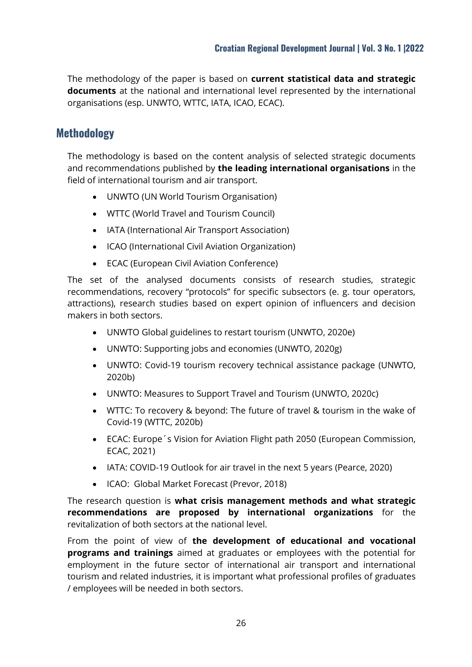The methodology of the paper is based on **current statistical data and strategic documents** at the national and international level represented by the international organisations (esp. UNWTO, WTTC, IATA, ICAO, ECAC).

## **Methodology**

The methodology is based on the content analysis of selected strategic documents and recommendations published by **the leading international organisations** in the field of international tourism and air transport.

- UNWTO (UN World Tourism Organisation)
- WTTC (World Travel and Tourism Council)
- IATA (International Air Transport Association)
- ICAO (International Civil Aviation Organization)
- ECAC (European Civil Aviation Conference)

The set of the analysed documents consists of research studies, strategic recommendations, recovery "protocols" for specific subsectors (e. g. tour operators, attractions), research studies based on expert opinion of influencers and decision makers in both sectors.

- UNWTO Global guidelines to restart tourism (UNWTO, 2020e)
- UNWTO: Supporting jobs and economies (UNWTO, 2020g)
- UNWTO: Covid-19 tourism recovery technical assistance package (UNWTO, 2020b)
- UNWTO: Measures to Support Travel and Tourism (UNWTO, 2020c)
- WTTC: To recovery & beyond: The future of travel & tourism in the wake of Covid-19 (WTTC, 2020b)
- ECAC: Europe´s Vision for Aviation Flight path 2050 (European Commission, ECAC, 2021)
- IATA: COVID-19 Outlook for air travel in the next 5 years (Pearce, 2020)
- ICAO: Global Market Forecast (Prevor, 2018)

The research question is **what crisis management methods and what strategic recommendations are proposed by international organizations** for the revitalization of both sectors at the national level.

From the point of view of **the development of educational and vocational programs and trainings** aimed at graduates or employees with the potential for employment in the future sector of international air transport and international tourism and related industries, it is important what professional profiles of graduates / employees will be needed in both sectors.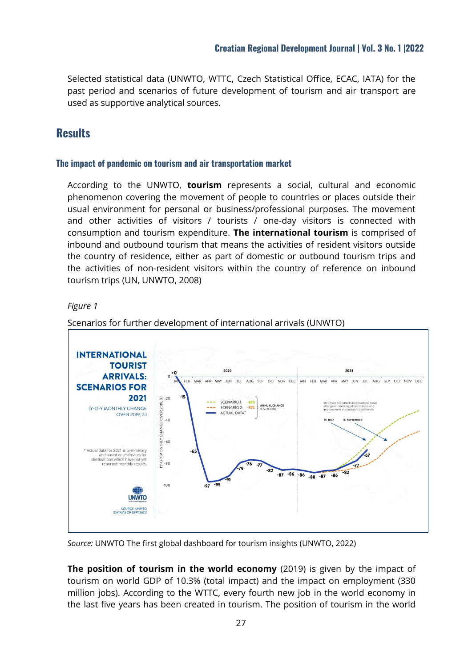Selected statistical data (UNWTO, WTTC, Czech Statistical Office, ECAC, IATA) for the past period and scenarios of future development of tourism and air transport are used as supportive analytical sources.

# **Results**

#### **The impact of pandemic on tourism and air transportation market**

According to the UNWTO, **tourism** represents a social, cultural and economic phenomenon covering the movement of people to countries or places outside their usual environment for personal or business/professional purposes. The movement and other activities of visitors / tourists / one-day visitors is connected with consumption and tourism expenditure. **The international tourism** is comprised of inbound and outbound tourism that means the activities of resident visitors outside the country of residence, either as part of domestic or outbound tourism trips and the activities of non-resident visitors within the country of reference on inbound tourism trips (UN, UNWTO, 2008)

#### *Figure 1*



Scenarios for further development of international arrivals (UNWTO)

*Source:* UNWTO The first global dashboard for tourism insights (UNWTO, 2022)

**The position of tourism in the world economy** (2019) is given by the impact of tourism on world GDP of 10.3% (total impact) and the impact on employment (330 million jobs). According to the WTTC, every fourth new job in the world economy in the last five years has been created in tourism. The position of tourism in the world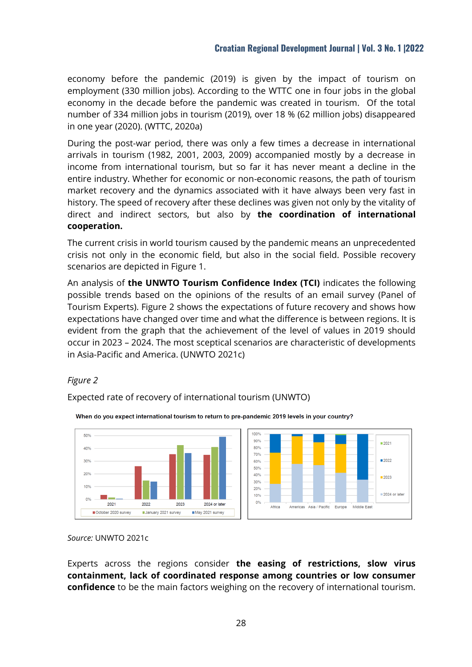economy before the pandemic (2019) is given by the impact of tourism on employment (330 million jobs). According to the WTTC one in four jobs in the global economy in the decade before the pandemic was created in tourism. Of the total number of 334 million jobs in tourism (2019), over 18 % (62 million jobs) disappeared in one year (2020). (WTTC, 2020a)

During the post-war period, there was only a few times a decrease in international arrivals in tourism (1982, 2001, 2003, 2009) accompanied mostly by a decrease in income from international tourism, but so far it has never meant a decline in the entire industry. Whether for economic or non-economic reasons, the path of tourism market recovery and the dynamics associated with it have always been very fast in history. The speed of recovery after these declines was given not only by the vitality of direct and indirect sectors, but also by **the coordination of international cooperation.**

The current crisis in world tourism caused by the pandemic means an unprecedented crisis not only in the economic field, but also in the social field. Possible recovery scenarios are depicted in Figure 1.

An analysis of **the UNWTO Tourism Confidence Index (TCI)** indicates the following possible trends based on the opinions of the results of an email survey (Panel of Tourism Experts). Figure 2 shows the expectations of future recovery and shows how expectations have changed over time and what the difference is between regions. It is evident from the graph that the achievement of the level of values in 2019 should occur in 2023 – 2024. The most sceptical scenarios are characteristic of developments in Asia-Pacific and America. (UNWTO 2021c)

#### *Figure 2*

Expected rate of recovery of international tourism (UNWTO)



When do you expect international tourism to return to pre-pandemic 2019 levels in your country?

#### *Source:* UNWTO 2021c

Experts across the regions consider **the easing of restrictions, slow virus containment, lack of coordinated response among countries or low consumer confidence** to be the main factors weighing on the recovery of international tourism.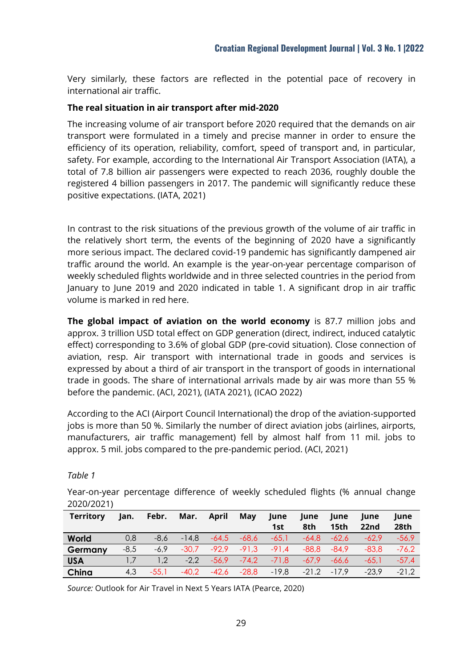Very similarly, these factors are reflected in the potential pace of recovery in international air traffic.

#### **The real situation in air transport after mid-2020**

The increasing volume of air transport before 2020 required that the demands on air transport were formulated in a timely and precise manner in order to ensure the efficiency of its operation, reliability, comfort, speed of transport and, in particular, safety. For example, according to the International Air Transport Association (IATA), a total of 7.8 billion air passengers were expected to reach 2036, roughly double the registered 4 billion passengers in 2017. The pandemic will significantly reduce these positive expectations. (IATA, 2021)

In contrast to the risk situations of the previous growth of the volume of air traffic in the relatively short term, the events of the beginning of 2020 have a significantly more serious impact. The declared covid-19 pandemic has significantly dampened air traffic around the world. An example is the year-on-year percentage comparison of weekly scheduled flights worldwide and in three selected countries in the period from January to June 2019 and 2020 indicated in table 1. A significant drop in air traffic volume is marked in red here.

**The global impact of aviation on the world economy** is 87.7 million jobs and approx. 3 trillion USD total effect on GDP generation (direct, indirect, induced catalytic effect) corresponding to 3.6% of global GDP (pre-covid situation). Close connection of aviation, resp. Air transport with international trade in goods and services is expressed by about a third of air transport in the transport of goods in international trade in goods. The share of international arrivals made by air was more than 55 % before the pandemic. (ACI, 2021), (IATA 2021), (ICAO 2022)

According to the ACI (Airport Council International) the drop of the aviation-supported jobs is more than 50 %. Similarly the number of direct aviation jobs (airlines, airports, manufacturers, air traffic management) fell by almost half from 11 mil. jobs to approx. 5 mil. jobs compared to the pre-pandemic period. (ACI, 2021)

*Table 1*

Year-on-year percentage difference of weekly scheduled flights (% annual change 2020/2021)

| Territory  | Jan.   | Febr.   | Mar.    | April   | May     | lune    | June    | lune             | lune    | lune    |
|------------|--------|---------|---------|---------|---------|---------|---------|------------------|---------|---------|
|            |        |         |         |         |         | 1st     | 8th     | 15 <sub>th</sub> | 22nd    | 28th    |
| World      | 0,8    | $-8.6$  | $-14.8$ | $-64.5$ | $-68.6$ | $-65.1$ | -64.8   | $-62.6$          | $-62.9$ | $-56.9$ |
| Germany    | $-8.5$ | $-6.9$  | $-30.7$ | $-92.9$ | $-91.3$ | $-91.4$ | -88,8   | -84.9            | $-83.8$ | $-76.2$ |
| <b>USA</b> |        | 1.2     | $-2.2$  | $-56.9$ | $-74.2$ | $-71.8$ | $-67.9$ | $-66.6$          | -65.1   | $-57.4$ |
| China      | 4.3    | $-55.1$ | $-40.2$ | $-42,6$ | $-28,8$ | $-19,8$ |         | $-21.2 -17.9$    | $-23.9$ | $-21.2$ |

*Source:* Outlook for Air Travel in Next 5 Years IATA (Pearce, 2020)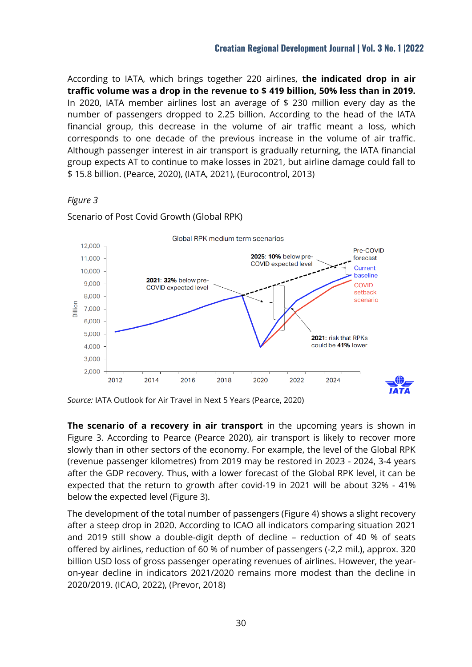According to IATA, which brings together 220 airlines, **the indicated drop in air traffic volume was a drop in the revenue to \$ 419 billion, 50% less than in 2019.** In 2020, IATA member airlines lost an average of \$ 230 million every day as the number of passengers dropped to 2.25 billion. According to the head of the IATA financial group, this decrease in the volume of air traffic meant a loss, which corresponds to one decade of the previous increase in the volume of air traffic. Although passenger interest in air transport is gradually returning, the IATA financial group expects AT to continue to make losses in 2021, but airline damage could fall to \$ 15.8 billion. (Pearce, 2020), (IATA, 2021), (Eurocontrol, 2013)





Scenario of Post Covid Growth (Global RPK)

*Source:* IATA Outlook for Air Travel in Next 5 Years (Pearce, 2020)

**The scenario of a recovery in air transport** in the upcoming years is shown in Figure 3. According to Pearce (Pearce 2020), air transport is likely to recover more slowly than in other sectors of the economy. For example, the level of the Global RPK (revenue passenger kilometres) from 2019 may be restored in 2023 - 2024, 3-4 years after the GDP recovery. Thus, with a lower forecast of the Global RPK level, it can be expected that the return to growth after covid-19 in 2021 will be about 32% - 41% below the expected level (Figure 3).

The development of the total number of passengers (Figure 4) shows a slight recovery after a steep drop in 2020. According to ICAO all indicators comparing situation 2021 and 2019 still show a double-digit depth of decline – reduction of 40 % of seats offered by airlines, reduction of 60 % of number of passengers (-2,2 mil.), approx. 320 billion USD loss of gross passenger operating revenues of airlines. However, the yearon-year decline in indicators 2021/2020 remains more modest than the decline in 2020/2019. (ICAO, 2022), (Prevor, 2018)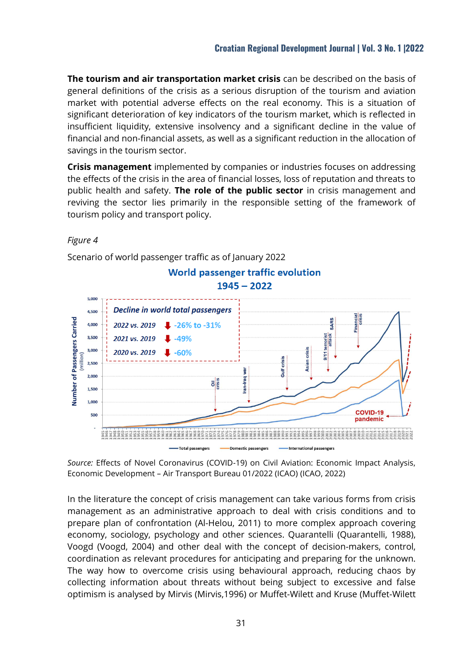**The tourism and air transportation market crisis** can be described on the basis of general definitions of the crisis as a serious disruption of the tourism and aviation market with potential adverse effects on the real economy. This is a situation of significant deterioration of key indicators of the tourism market, which is reflected in insufficient liquidity, extensive insolvency and a significant decline in the value of financial and non-financial assets, as well as a significant reduction in the allocation of savings in the tourism sector.

**Crisis management** implemented by companies or industries focuses on addressing the effects of the crisis in the area of financial losses, loss of reputation and threats to public health and safety. **The role of the public sector** in crisis management and reviving the sector lies primarily in the responsible setting of the framework of tourism policy and transport policy.

#### *Figure 4*



Scenario of world passenger traffic as of January 2022

*Source:* Effects of Novel Coronavirus (COVID-19) on Civil Aviation: Economic Impact Analysis, Economic Development – Air Transport Bureau 01/2022 (ICAO) (ICAO, 2022)

In the literature the concept of crisis management can take various forms from crisis management as an administrative approach to deal with crisis conditions and to prepare plan of confrontation (Al-Helou, 2011) to more complex approach covering economy, sociology, psychology and other sciences. Quarantelli (Quarantelli, 1988), Voogd (Voogd, 2004) and other deal with the concept of decision-makers, control, coordination as relevant procedures for anticipating and preparing for the unknown. The way how to overcome crisis using behavioural approach, reducing chaos by collecting information about threats without being subject to excessive and false optimism is analysed by Mirvis (Mirvis,1996) or Muffet-Wilett and Kruse (Muffet-Wilett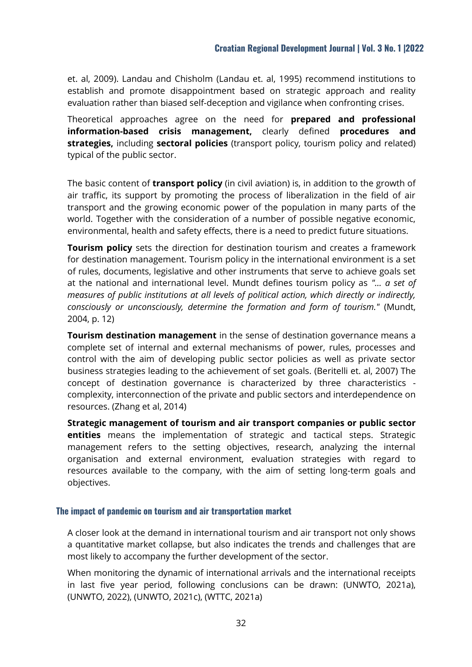et. al, 2009). Landau and Chisholm (Landau et. al, 1995) recommend institutions to establish and promote disappointment based on strategic approach and reality evaluation rather than biased self-deception and vigilance when confronting crises.

Theoretical approaches agree on the need for **prepared and professional information-based crisis management,** clearly defined **procedures and strategies,** including **sectoral policies** (transport policy, tourism policy and related) typical of the public sector.

The basic content of **transport policy** (in civil aviation) is, in addition to the growth of air traffic, its support by promoting the process of liberalization in the field of air transport and the growing economic power of the population in many parts of the world. Together with the consideration of a number of possible negative economic, environmental, health and safety effects, there is a need to predict future situations.

**Tourism policy** sets the direction for destination tourism and creates a framework for destination management. Tourism policy in the international environment is a set of rules, documents, legislative and other instruments that serve to achieve goals set at the national and international level. Mundt defines tourism policy as *"… a set of measures of public institutions at all levels of political action, which directly or indirectly, consciously or unconsciously, determine the formation and form of tourism."* (Mundt, 2004, p. 12)

**Tourism destination management** in the sense of destination governance means a complete set of internal and external mechanisms of power, rules, processes and control with the aim of developing public sector policies as well as private sector business strategies leading to the achievement of set goals. (Beritelli et. al, 2007) The concept of destination governance is characterized by three characteristics complexity, interconnection of the private and public sectors and interdependence on resources. (Zhang et al, 2014)

**Strategic management of tourism and air transport companies or public sector entities** means the implementation of strategic and tactical steps. Strategic management refers to the setting objectives, research, analyzing the internal organisation and external environment, evaluation strategies with regard to resources available to the company, with the aim of setting long-term goals and objectives.

#### **The impact of pandemic on tourism and air transportation market**

A closer look at the demand in international tourism and air transport not only shows a quantitative market collapse, but also indicates the trends and challenges that are most likely to accompany the further development of the sector.

When monitoring the dynamic of international arrivals and the international receipts in last five year period, following conclusions can be drawn: (UNWTO, 2021a), (UNWTO, 2022), (UNWTO, 2021c), (WTTC, 2021a)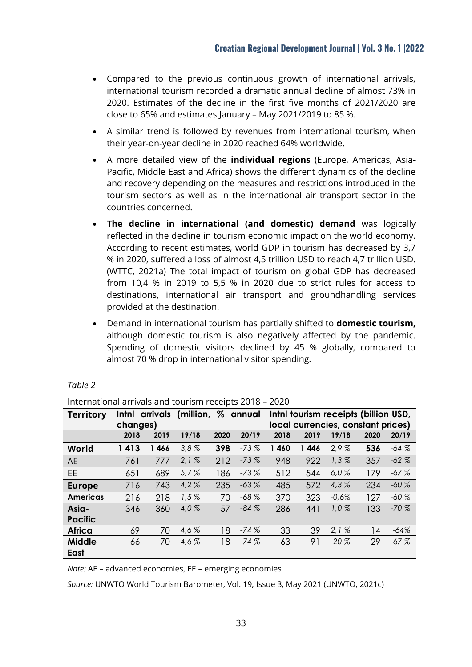- Compared to the previous continuous growth of international arrivals, international tourism recorded a dramatic annual decline of almost 73% in 2020. Estimates of the decline in the first five months of 2021/2020 are close to 65% and estimates January – May 2021/2019 to 85 %.
- A similar trend is followed by revenues from international tourism, when their year-on-year decline in 2020 reached 64% worldwide.
- A more detailed view of the **individual regions** (Europe, Americas, Asia-Pacific, Middle East and Africa) shows the different dynamics of the decline and recovery depending on the measures and restrictions introduced in the tourism sectors as well as in the international air transport sector in the countries concerned.
- **The decline in international (and domestic) demand** was logically reflected in the decline in tourism economic impact on the world economy. According to recent estimates, world GDP in tourism has decreased by 3,7 % in 2020, suffered a loss of almost 4,5 trillion USD to reach 4,7 trillion USD. (WTTC, 2021a) The total impact of tourism on global GDP has decreased from 10,4 % in 2019 to 5,5 % in 2020 due to strict rules for access to destinations, international air transport and groundhandling services provided at the destination.
- Demand in international tourism has partially shifted to **domestic tourism,** although domestic tourism is also negatively affected by the pandemic. Spending of domestic visitors declined by 45 % globally, compared to almost 70 % drop in international visitor spending.

| <u> international arrivais and tourism receipts 2016 – 2020</u> |          |      |                                   |      |                                    |         |      |                                      |      |         |
|-----------------------------------------------------------------|----------|------|-----------------------------------|------|------------------------------------|---------|------|--------------------------------------|------|---------|
| <b>Territory</b>                                                |          |      | Inthi arrivals (million, % annual |      |                                    |         |      | Inthl tourism receipts (billion USD, |      |         |
|                                                                 | changes) |      |                                   |      | local currencies, constant prices) |         |      |                                      |      |         |
|                                                                 | 2018     | 2019 | 19/18                             | 2020 | 20/19                              | 2018    | 2019 | 19/18                                | 2020 | 20/19   |
| World                                                           | 1413     | 1466 | 3.8%                              | 398  | $-73%$                             | 1 4 6 0 | 1446 | 2.9%                                 | 536  | $-64%$  |
| <b>AE</b>                                                       | 761      | 777  | 2.1%                              | 212  | $-73%$                             | 948     | 922  | 1,3%                                 | 357  | $-62%$  |
| <b>EE</b>                                                       | 651      | 689  | 5.7%                              | 186  | $-73%$                             | 512     | 544  | 6.0%                                 | 179  | $-67%$  |
| <b>Europe</b>                                                   | 716      | 743  | 4.2%                              | 235  | $-63%$                             | 485     | 572  | 4.3%                                 | 234  | $-60\%$ |
| <b>Americas</b>                                                 | 216      | 218  | 1,5%                              | 70   | $-68\%$                            | 370     | 323  | $-0.6%$                              | 127  | $-60\%$ |
| Asia-                                                           | 346      | 360  | 4.0%                              | 57   | $-84%$                             | 286     | 441  | 1.0%                                 | 133  | $-70%$  |
| <b>Pacific</b>                                                  |          |      |                                   |      |                                    |         |      |                                      |      |         |
| Africa                                                          | 69       | 70   | 4.6 $%$                           | 18   | $-74%$                             | 33      | 39   | 2.1%                                 | 14   | $-64%$  |
| <b>Middle</b>                                                   | 66       | 70   | 4,6%                              | 18   | $-74%$                             | 63      | 91   | 20 %                                 | 29   | $-67%$  |
| East                                                            |          |      |                                   |      |                                    |         |      |                                      |      |         |

#### *Table 2*

International arrivals and tourism receipts 2018 – 2020

*Note:* AE – advanced economies, EE – emerging economies

*Source:* UNWTO World Tourism Barometer, Vol. 19, Issue 3, May 2021 (UNWTO, 2021c)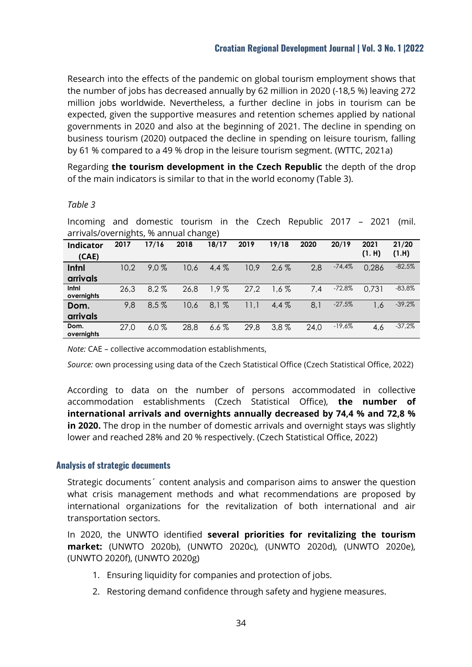Research into the effects of the pandemic on global tourism employment shows that the number of jobs has decreased annually by 62 million in 2020 (-18,5 %) leaving 272 million jobs worldwide. Nevertheless, a further decline in jobs in tourism can be expected, given the supportive measures and retention schemes applied by national governments in 2020 and also at the beginning of 2021. The decline in spending on business tourism (2020) outpaced the decline in spending on leisure tourism, falling by 61 % compared to a 49 % drop in the leisure tourism segment. (WTTC, 2021a)

Regarding **the tourism development in the Czech Republic** the depth of the drop of the main indicators is similar to that in the world economy (Table 3).

#### *Table 3*

Incoming and domestic tourism in the Czech Republic 2017 – 2021 (mil. arrivals/overnights, % annual change)

|            | . .  |         |      | ີ       |      |         |      |          |        |          |
|------------|------|---------|------|---------|------|---------|------|----------|--------|----------|
| Indicator  | 2017 | 17/16   | 2018 | 18/17   | 2019 | 19/18   | 2020 | 20/19    | 2021   | 21/20    |
| (CAE)      |      |         |      |         |      |         |      |          | (1. H) | (1.H)    |
| Intnl      | 10,2 | $9.0\%$ | 10,6 | $4.4\%$ | 10,9 | $2.6\%$ | 2,8  | $-74,4%$ | 0,286  | $-82,5%$ |
| arrivals   |      |         |      |         |      |         |      |          |        |          |
| Intnl      | 26,3 | $8.2\%$ | 26,8 | 1,9%    | 27,2 | 1,6%    | 7,4  | $-72,8%$ | 0.731  | $-83,8%$ |
| overnights |      |         |      |         |      |         |      |          |        |          |
| Dom.       | 9,8  | 8.5%    | 10,6 | 8.1%    | 11,1 | $4.4\%$ | 8,1  | $-27,5%$ | 1.6    | $-39,2%$ |
| arrivals   |      |         |      |         |      |         |      |          |        |          |
| Dom.       | 27,0 | 6.0%    | 28,8 | 6.6%    | 29,8 | $3.8\%$ | 24,0 | $-19,6%$ | 4,6    | $-37,2%$ |
| overnights |      |         |      |         |      |         |      |          |        |          |

*Note:* CAE – collective accommodation establishments,

*Source:* own processing using data of the Czech Statistical Office (Czech Statistical Office, 2022)

According to data on the number of persons accommodated in collective accommodation establishments (Czech Statistical Office), **the number of international arrivals and overnights annually decreased by 74,4 % and 72,8 % in 2020.** The drop in the number of domestic arrivals and overnight stays was slightly lower and reached 28% and 20 % respectively. (Czech Statistical Office, 2022)

#### **Analysis of strategic documents**

Strategic documents´ content analysis and comparison aims to answer the question what crisis management methods and what recommendations are proposed by international organizations for the revitalization of both international and air transportation sectors.

In 2020, the UNWTO identified **several priorities for revitalizing the tourism market:** (UNWTO 2020b), (UNWTO 2020c), (UNWTO 2020d), (UNWTO 2020e), (UNWTO 2020f), (UNWTO 2020g)

- 1. Ensuring liquidity for companies and protection of jobs.
- 2. Restoring demand confidence through safety and hygiene measures.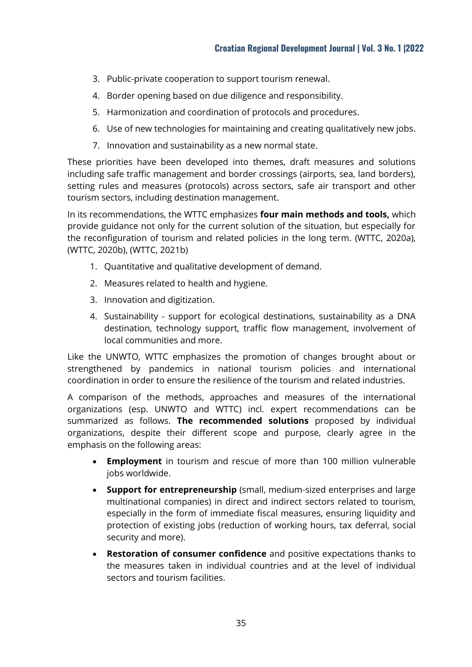- 3. Public-private cooperation to support tourism renewal.
- 4. Border opening based on due diligence and responsibility.
- 5. Harmonization and coordination of protocols and procedures.
- 6. Use of new technologies for maintaining and creating qualitatively new jobs.
- 7. Innovation and sustainability as a new normal state.

These priorities have been developed into themes, draft measures and solutions including safe traffic management and border crossings (airports, sea, land borders), setting rules and measures (protocols) across sectors, safe air transport and other tourism sectors, including destination management.

In its recommendations, the WTTC emphasizes **four main methods and tools,** which provide guidance not only for the current solution of the situation, but especially for the reconfiguration of tourism and related policies in the long term. (WTTC, 2020a), (WTTC, 2020b), (WTTC, 2021b)

- 1. Quantitative and qualitative development of demand.
- 2. Measures related to health and hygiene.
- 3. Innovation and digitization.
- 4. Sustainability support for ecological destinations, sustainability as a DNA destination, technology support, traffic flow management, involvement of local communities and more.

Like the UNWTO, WTTC emphasizes the promotion of changes brought about or strengthened by pandemics in national tourism policies and international coordination in order to ensure the resilience of the tourism and related industries.

A comparison of the methods, approaches and measures of the international organizations (esp. UNWTO and WTTC) incl. expert recommendations can be summarized as follows. **The recommended solutions** proposed by individual organizations, despite their different scope and purpose, clearly agree in the emphasis on the following areas:

- **Employment** in tourism and rescue of more than 100 million vulnerable jobs worldwide.
- **Support for entrepreneurship** (small, medium-sized enterprises and large multinational companies) in direct and indirect sectors related to tourism, especially in the form of immediate fiscal measures, ensuring liquidity and protection of existing jobs (reduction of working hours, tax deferral, social security and more).
- **Restoration of consumer confidence** and positive expectations thanks to the measures taken in individual countries and at the level of individual sectors and tourism facilities.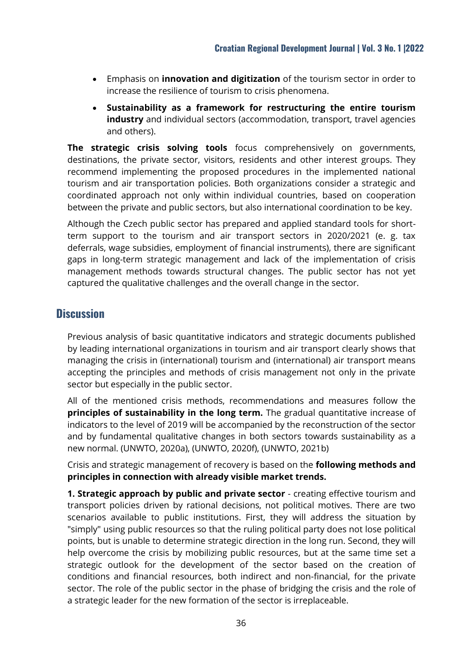- Emphasis on **innovation and digitization** of the tourism sector in order to increase the resilience of tourism to crisis phenomena.
- **Sustainability as a framework for restructuring the entire tourism industry** and individual sectors (accommodation, transport, travel agencies and others).

**The strategic crisis solving tools** focus comprehensively on governments, destinations, the private sector, visitors, residents and other interest groups. They recommend implementing the proposed procedures in the implemented national tourism and air transportation policies. Both organizations consider a strategic and coordinated approach not only within individual countries, based on cooperation between the private and public sectors, but also international coordination to be key.

Although the Czech public sector has prepared and applied standard tools for shortterm support to the tourism and air transport sectors in 2020/2021 (e. g. tax deferrals, wage subsidies, employment of financial instruments), there are significant gaps in long-term strategic management and lack of the implementation of crisis management methods towards structural changes. The public sector has not yet captured the qualitative challenges and the overall change in the sector.

# **Discussion**

Previous analysis of basic quantitative indicators and strategic documents published by leading international organizations in tourism and air transport clearly shows that managing the crisis in (international) tourism and (international) air transport means accepting the principles and methods of crisis management not only in the private sector but especially in the public sector.

All of the mentioned crisis methods, recommendations and measures follow the **principles of sustainability in the long term.** The gradual quantitative increase of indicators to the level of 2019 will be accompanied by the reconstruction of the sector and by fundamental qualitative changes in both sectors towards sustainability as a new normal. (UNWTO, 2020a), (UNWTO, 2020f), (UNWTO, 2021b)

Crisis and strategic management of recovery is based on the **following methods and principles in connection with already visible market trends.**

**1. Strategic approach by public and private sector** - creating effective tourism and transport policies driven by rational decisions, not political motives. There are two scenarios available to public institutions. First, they will address the situation by "simply" using public resources so that the ruling political party does not lose political points, but is unable to determine strategic direction in the long run. Second, they will help overcome the crisis by mobilizing public resources, but at the same time set a strategic outlook for the development of the sector based on the creation of conditions and financial resources, both indirect and non-financial, for the private sector. The role of the public sector in the phase of bridging the crisis and the role of a strategic leader for the new formation of the sector is irreplaceable.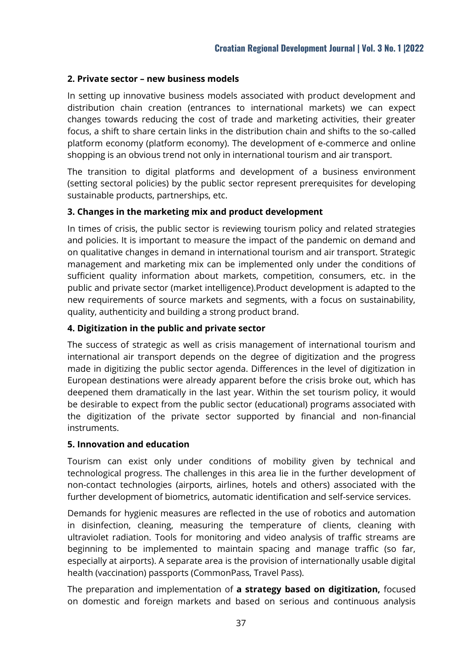#### **2. Private sector – new business models**

In setting up innovative business models associated with product development and distribution chain creation (entrances to international markets) we can expect changes towards reducing the cost of trade and marketing activities, their greater focus, a shift to share certain links in the distribution chain and shifts to the so-called platform economy (platform economy). The development of e-commerce and online shopping is an obvious trend not only in international tourism and air transport.

The transition to digital platforms and development of a business environment (setting sectoral policies) by the public sector represent prerequisites for developing sustainable products, partnerships, etc.

#### **3. Changes in the marketing mix and product development**

In times of crisis, the public sector is reviewing tourism policy and related strategies and policies. It is important to measure the impact of the pandemic on demand and on qualitative changes in demand in international tourism and air transport. Strategic management and marketing mix can be implemented only under the conditions of sufficient quality information about markets, competition, consumers, etc. in the public and private sector (market intelligence).Product development is adapted to the new requirements of source markets and segments, with a focus on sustainability, quality, authenticity and building a strong product brand.

#### **4. Digitization in the public and private sector**

The success of strategic as well as crisis management of international tourism and international air transport depends on the degree of digitization and the progress made in digitizing the public sector agenda. Differences in the level of digitization in European destinations were already apparent before the crisis broke out, which has deepened them dramatically in the last year. Within the set tourism policy, it would be desirable to expect from the public sector (educational) programs associated with the digitization of the private sector supported by financial and non-financial instruments.

#### **5. Innovation and education**

Tourism can exist only under conditions of mobility given by technical and technological progress. The challenges in this area lie in the further development of non-contact technologies (airports, airlines, hotels and others) associated with the further development of biometrics, automatic identification and self-service services.

Demands for hygienic measures are reflected in the use of robotics and automation in disinfection, cleaning, measuring the temperature of clients, cleaning with ultraviolet radiation. Tools for monitoring and video analysis of traffic streams are beginning to be implemented to maintain spacing and manage traffic (so far, especially at airports). A separate area is the provision of internationally usable digital health (vaccination) passports (CommonPass, Travel Pass).

The preparation and implementation of **a strategy based on digitization,** focused on domestic and foreign markets and based on serious and continuous analysis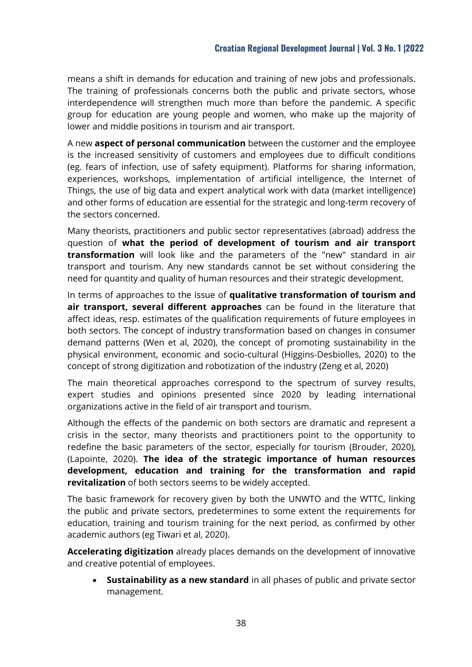means a shift in demands for education and training of new jobs and professionals. The training of professionals concerns both the public and private sectors, whose interdependence will strengthen much more than before the pandemic. A specific group for education are young people and women, who make up the majority of lower and middle positions in tourism and air transport.

A new **aspect of personal communication** between the customer and the employee is the increased sensitivity of customers and employees due to difficult conditions (eg. fears of infection, use of safety equipment). Platforms for sharing information, experiences, workshops, implementation of artificial intelligence, the Internet of Things, the use of big data and expert analytical work with data (market intelligence) and other forms of education are essential for the strategic and long-term recovery of the sectors concerned.

Many theorists, practitioners and public sector representatives (abroad) address the question of **what the period of development of tourism and air transport transformation** will look like and the parameters of the "new" standard in air transport and tourism. Any new standards cannot be set without considering the need for quantity and quality of human resources and their strategic development.

In terms of approaches to the issue of **qualitative transformation of tourism and air transport, several different approaches** can be found in the literature that affect ideas, resp. estimates of the qualification requirements of future employees in both sectors. The concept of industry transformation based on changes in consumer demand patterns (Wen et al, 2020), the concept of promoting sustainability in the physical environment, economic and socio-cultural (Higgins-Desbiolles, 2020) to the concept of strong digitization and robotization of the industry (Zeng et al, 2020)

The main theoretical approaches correspond to the spectrum of survey results, expert studies and opinions presented since 2020 by leading international organizations active in the field of air transport and tourism.

Although the effects of the pandemic on both sectors are dramatic and represent a crisis in the sector, many theorists and practitioners point to the opportunity to redefine the basic parameters of the sector, especially for tourism (Brouder, 2020), (Lapointe, 2020). **The idea of the strategic importance of human resources development, education and training for the transformation and rapid revitalization** of both sectors seems to be widely accepted.

The basic framework for recovery given by both the UNWTO and the WTTC, linking the public and private sectors, predetermines to some extent the requirements for education, training and tourism training for the next period, as confirmed by other academic authors (eg Tiwari et al, 2020).

**Accelerating digitization** already places demands on the development of innovative and creative potential of employees.

 **Sustainability as a new standard** in all phases of public and private sector management.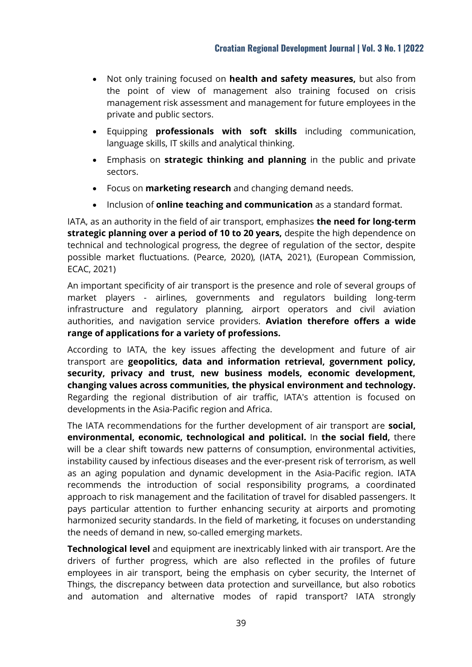- Not only training focused on **health and safety measures,** but also from the point of view of management also training focused on crisis management risk assessment and management for future employees in the private and public sectors.
- Equipping **professionals with soft skills** including communication, language skills, IT skills and analytical thinking.
- Emphasis on **strategic thinking and planning** in the public and private sectors.
- Focus on **marketing research** and changing demand needs.
- Inclusion of **online teaching and communication** as a standard format.

IATA, as an authority in the field of air transport, emphasizes **the need for long-term strategic planning over a period of 10 to 20 years,** despite the high dependence on technical and technological progress, the degree of regulation of the sector, despite possible market fluctuations. (Pearce, 2020), (IATA, 2021), (European Commission, ECAC, 2021)

An important specificity of air transport is the presence and role of several groups of market players - airlines, governments and regulators building long-term infrastructure and regulatory planning, airport operators and civil aviation authorities, and navigation service providers. **Aviation therefore offers a wide range of applications for a variety of professions.**

According to IATA, the key issues affecting the development and future of air transport are **geopolitics, data and information retrieval, government policy, security, privacy and trust, new business models, economic development, changing values across communities, the physical environment and technology.** Regarding the regional distribution of air traffic, IATA's attention is focused on developments in the Asia-Pacific region and Africa.

The IATA recommendations for the further development of air transport are **social, environmental, economic, technological and political.** In **the social field,** there will be a clear shift towards new patterns of consumption, environmental activities, instability caused by infectious diseases and the ever-present risk of terrorism, as well as an aging population and dynamic development in the Asia-Pacific region. IATA recommends the introduction of social responsibility programs, a coordinated approach to risk management and the facilitation of travel for disabled passengers. It pays particular attention to further enhancing security at airports and promoting harmonized security standards. In the field of marketing, it focuses on understanding the needs of demand in new, so-called emerging markets.

**Technological level** and equipment are inextricably linked with air transport. Are the drivers of further progress, which are also reflected in the profiles of future employees in air transport, being the emphasis on cyber security, the Internet of Things, the discrepancy between data protection and surveillance, but also robotics and automation and alternative modes of rapid transport? IATA strongly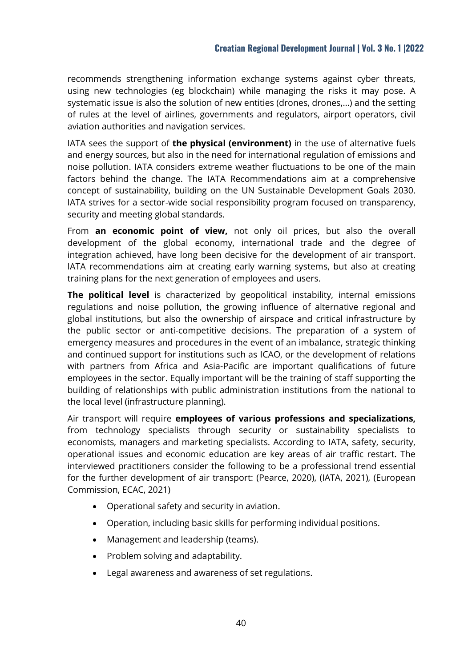recommends strengthening information exchange systems against cyber threats, using new technologies (eg blockchain) while managing the risks it may pose. A systematic issue is also the solution of new entities (drones, drones,…) and the setting of rules at the level of airlines, governments and regulators, airport operators, civil aviation authorities and navigation services.

IATA sees the support of **the physical (environment)** in the use of alternative fuels and energy sources, but also in the need for international regulation of emissions and noise pollution. IATA considers extreme weather fluctuations to be one of the main factors behind the change. The IATA Recommendations aim at a comprehensive concept of sustainability, building on the UN Sustainable Development Goals 2030. IATA strives for a sector-wide social responsibility program focused on transparency, security and meeting global standards.

From **an economic point of view,** not only oil prices, but also the overall development of the global economy, international trade and the degree of integration achieved, have long been decisive for the development of air transport. IATA recommendations aim at creating early warning systems, but also at creating training plans for the next generation of employees and users.

**The political level** is characterized by geopolitical instability, internal emissions regulations and noise pollution, the growing influence of alternative regional and global institutions, but also the ownership of airspace and critical infrastructure by the public sector or anti-competitive decisions. The preparation of a system of emergency measures and procedures in the event of an imbalance, strategic thinking and continued support for institutions such as ICAO, or the development of relations with partners from Africa and Asia-Pacific are important qualifications of future employees in the sector. Equally important will be the training of staff supporting the building of relationships with public administration institutions from the national to the local level (infrastructure planning).

Air transport will require **employees of various professions and specializations,** from technology specialists through security or sustainability specialists to economists, managers and marketing specialists. According to IATA, safety, security, operational issues and economic education are key areas of air traffic restart. The interviewed practitioners consider the following to be a professional trend essential for the further development of air transport: (Pearce, 2020), (IATA, 2021), (European Commission, ECAC, 2021)

- Operational safety and security in aviation.
- Operation, including basic skills for performing individual positions.
- Management and leadership (teams).
- Problem solving and adaptability.
- Legal awareness and awareness of set regulations.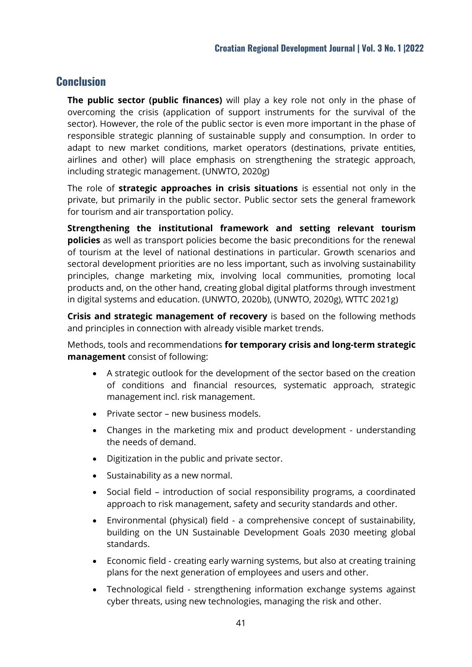## **Conclusion**

**The public sector (public finances)** will play a key role not only in the phase of overcoming the crisis (application of support instruments for the survival of the sector). However, the role of the public sector is even more important in the phase of responsible strategic planning of sustainable supply and consumption. In order to adapt to new market conditions, market operators (destinations, private entities, airlines and other) will place emphasis on strengthening the strategic approach, including strategic management. (UNWTO, 2020g)

The role of **strategic approaches in crisis situations** is essential not only in the private, but primarily in the public sector. Public sector sets the general framework for tourism and air transportation policy.

**Strengthening the institutional framework and setting relevant tourism policies** as well as transport policies become the basic preconditions for the renewal of tourism at the level of national destinations in particular. Growth scenarios and sectoral development priorities are no less important, such as involving sustainability principles, change marketing mix, involving local communities, promoting local products and, on the other hand, creating global digital platforms through investment in digital systems and education. (UNWTO, 2020b), (UNWTO, 2020g), WTTC 2021g)

**Crisis and strategic management of recovery** is based on the following methods and principles in connection with already visible market trends.

Methods, tools and recommendations **for temporary crisis and long-term strategic management** consist of following:

- A strategic outlook for the development of the sector based on the creation of conditions and financial resources, systematic approach, strategic management incl. risk management.
- Private sector new business models.
- Changes in the marketing mix and product development understanding the needs of demand.
- Digitization in the public and private sector.
- Sustainability as a new normal.
- Social field introduction of social responsibility programs, a coordinated approach to risk management, safety and security standards and other.
- Environmental (physical) field a comprehensive concept of sustainability, building on the UN Sustainable Development Goals 2030 meeting global standards.
- Economic field creating early warning systems, but also at creating training plans for the next generation of employees and users and other.
- Technological field strengthening information exchange systems against cyber threats, using new technologies, managing the risk and other.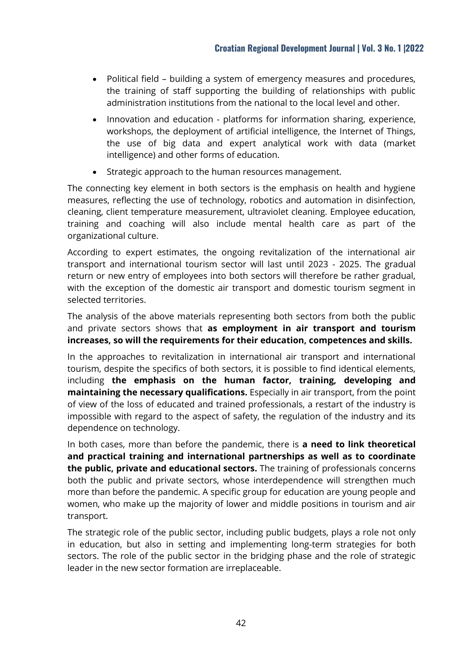- Political field building a system of emergency measures and procedures, the training of staff supporting the building of relationships with public administration institutions from the national to the local level and other.
- Innovation and education platforms for information sharing, experience, workshops, the deployment of artificial intelligence, the Internet of Things, the use of big data and expert analytical work with data (market intelligence) and other forms of education.
- Strategic approach to the human resources management.

The connecting key element in both sectors is the emphasis on health and hygiene measures, reflecting the use of technology, robotics and automation in disinfection, cleaning, client temperature measurement, ultraviolet cleaning. Employee education, training and coaching will also include mental health care as part of the organizational culture.

According to expert estimates, the ongoing revitalization of the international air transport and international tourism sector will last until 2023 - 2025. The gradual return or new entry of employees into both sectors will therefore be rather gradual, with the exception of the domestic air transport and domestic tourism segment in selected territories.

The analysis of the above materials representing both sectors from both the public and private sectors shows that **as employment in air transport and tourism increases, so will the requirements for their education, competences and skills.**

In the approaches to revitalization in international air transport and international tourism, despite the specifics of both sectors, it is possible to find identical elements, including **the emphasis on the human factor, training, developing and maintaining the necessary qualifications.** Especially in air transport, from the point of view of the loss of educated and trained professionals, a restart of the industry is impossible with regard to the aspect of safety, the regulation of the industry and its dependence on technology.

In both cases, more than before the pandemic, there is **a need to link theoretical and practical training and international partnerships as well as to coordinate the public, private and educational sectors.** The training of professionals concerns both the public and private sectors, whose interdependence will strengthen much more than before the pandemic. A specific group for education are young people and women, who make up the majority of lower and middle positions in tourism and air transport.

The strategic role of the public sector, including public budgets, plays a role not only in education, but also in setting and implementing long-term strategies for both sectors. The role of the public sector in the bridging phase and the role of strategic leader in the new sector formation are irreplaceable.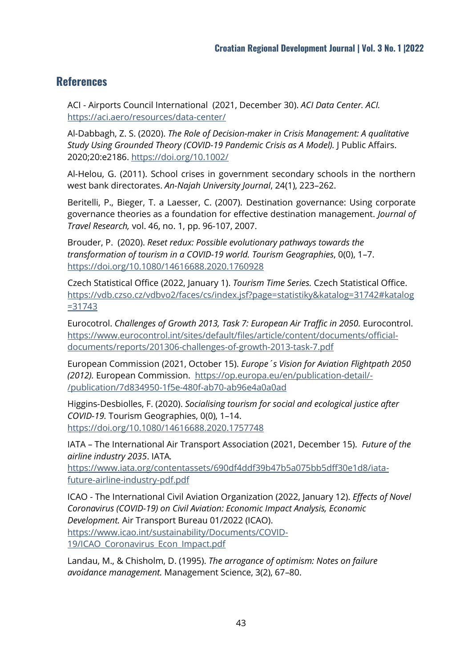## **References**

ACI - Airports Council International (2021, December 30). *ACI Data Center. ACI.*  https://aci.aero/resources/data-center/

Al-Dabbagh, Z. S. (2020). *The Role of Decision-maker in Crisis Management: A qualitative Study Using Grounded Theory (COVID-19 Pandemic Crisis as A Model).* J Public Affairs. 2020;20:e2186.<https://doi.org/10.1002/>

Al-Helou, G. (2011). School crises in government secondary schools in the northern west bank directorates. *An-Najah University Journal*, 24(1), 223–262.

Beritelli, P., Bieger, T. a Laesser, C. (2007). Destination governance: Using corporate governance theories as a foundation for effective destination management. *Journal of Travel Research,* vol. 46, no. 1, pp. 96-107, 2007.

Brouder, P. (2020). *Reset redux: Possible evolutionary pathways towards the transformation of tourism in a COVID-19 world. Tourism Geographies*, 0(0), 1–7. <https://doi.org/10.1080/14616688.2020.1760928>

Czech Statistical Office (2022, January 1). *Tourism Time Series.* Czech Statistical Office. [https://vdb.czso.cz/vdbvo2/faces/cs/index.jsf?page=statistiky&katalog=31742#katalog](https://vdb.czso.cz/vdbvo2/faces/cs/index.jsf?page=statistiky&katalog=31742#katalog=31743) [=31743](https://vdb.czso.cz/vdbvo2/faces/cs/index.jsf?page=statistiky&katalog=31742#katalog=31743) 

Eurocotrol. *Challenges of Growth 2013, Task 7: European Air Traffic in 2050. Eurocontrol.* [https://www.eurocontrol.int/sites/default/files/article/content/documents/official](https://www.eurocontrol.int/sites/default/files/article/content/documents/official-documents/reports/201306-challenges-of-growth-2013-task-7.pdf)[documents/reports/201306-challenges-of-growth-2013-task-7.pdf](https://www.eurocontrol.int/sites/default/files/article/content/documents/official-documents/reports/201306-challenges-of-growth-2013-task-7.pdf) 

European Commission (2021, October 15). *Europe´s Vision for Aviation Flightpath 2050 (2012).* European Commission. [https://op.europa.eu/en/publication-detail/-](https://op.europa.eu/en/publication-detail/-/publication/7d834950-1f5e-480f-ab70-ab96e4a0a0ad) [/publication/7d834950-1f5e-480f-ab70-ab96e4a0a0ad](https://op.europa.eu/en/publication-detail/-/publication/7d834950-1f5e-480f-ab70-ab96e4a0a0ad) 

Higgins-Desbiolles, F. (2020). *Socialising tourism for social and ecological justice after COVID-19.* Tourism Geographies, 0(0), 1–14. <https://doi.org/10.1080/14616688.2020.1757748>

IATA – The International Air Transport Association (2021, December 15). *Future of the airline industry 2035*. IATA*.* 

https://www.iata.org/contentassets/690df4ddf39b47b5a075bb5dff30e1d8/iatafuture-airline-industry-pdf.pdf

ICAO - The International Civil Aviation Organization (2022, January 12). *Effects of Novel Coronavirus (COVID-19) on Civil Aviation: Economic Impact Analysis, Economic Development.* Air Transport Bureau 01/2022 (ICAO). [https://www.icao.int/sustainability/Documents/COVID-](https://www.icao.int/sustainability/Documents/COVID-19/ICAO_Coronavirus_Econ_Impact.pdf)

19/ICAO Coronavirus Econ Impact.pdf

Landau, M., & Chisholm, D. (1995). *The arrogance of optimism: Notes on failure avoidance management.* Management Science, 3(2), 67–80.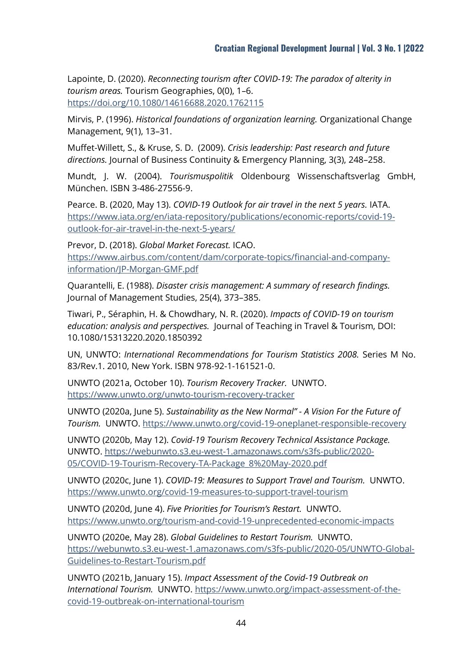Lapointe, D. (2020). *Reconnecting tourism after COVID-19: The paradox of alterity in tourism areas.* Tourism Geographies, 0(0), 1–6. <https://doi.org/10.1080/14616688.2020.1762115>

Mirvis, P. (1996). *Historical foundations of organization learning.* Organizational Change Management, 9(1), 13–31.

Muffet-Willett, S., & Kruse, S. D. (2009). *Crisis leadership: Past research and future directions.* Journal of Business Continuity & Emergency Planning, 3(3), 248–258.

Mundt, J. W. (2004). *Tourismuspolitik* Oldenbourg Wissenschaftsverlag GmbH, München. ISBN 3-486-27556-9.

Pearce. B. (2020, May 13). *COVID-19 Outlook for air travel in the next 5 years.* IATA. [https://www.iata.org/en/iata-repository/publications/economic-reports/covid-19](https://www.iata.org/en/iata-repository/publications/economic-reports/covid-19-outlook-for-air-travel-in-the-next-5-years/) [outlook-for-air-travel-in-the-next-5-years/](https://www.iata.org/en/iata-repository/publications/economic-reports/covid-19-outlook-for-air-travel-in-the-next-5-years/) 

Prevor, D. (2018). *Global Market Forecast.* ICAO. [https://www.airbus.com/content/dam/corporate-topics/financial-and-company](https://www.airbus.com/content/dam/corporate-topics/financial-and-company-information/JP-Morgan-GMF.pdf)[information/JP-Morgan-GMF.pdf](https://www.airbus.com/content/dam/corporate-topics/financial-and-company-information/JP-Morgan-GMF.pdf) 

Quarantelli, E. (1988). *Disaster crisis management: A summary of research findings.* Journal of Management Studies, 25(4), 373–385.

Tiwari, P., Séraphin, H. & Chowdhary, N. R. (2020). *Impacts of COVID-19 on tourism education: analysis and perspectives.* Journal of Teaching in Travel & Tourism, DOI: 10.1080/15313220.2020.1850392

UN, UNWTO: *International Recommendations for Tourism Statistics 2008.* Series M No. 83/Rev.1. 2010, New York. ISBN 978-92-1-161521-0.

UNWTO (2021a, October 10). *Tourism Recovery Tracker.* UNWTO. <https://www.unwto.org/unwto-tourism-recovery-tracker>

UNWTO (2020a, June 5). *Sustainability as the New Normal" - A Vision For the Future of Tourism.* UNWTO.<https://www.unwto.org/covid-19-oneplanet-responsible-recovery>

UNWTO (2020b, May 12). *Covid-19 Tourism Recovery Technical Assistance Package.*  UNWTO. https://webunwto.s3.eu-west-1.amazonaws.com/s3fs-public/2020- 05/COVID-19-Tourism-Recovery-TA-Package\_8%20May-2020.pdf

UNWTO (2020c, June 1). *COVID-19: Measures to Support Travel and Tourism.* UNWTO. https://www.unwto.org/covid-19-measures-to-support-travel-tourism

UNWTO (2020d, June 4). *Five Priorities for Tourism's Restart.* UNWTO. https://www.unwto.org/tourism-and-covid-19-unprecedented-economic-impacts

UNWTO (2020e, May 28). *Global Guidelines to Restart Tourism.* UNWTO. https://webunwto.s3.eu-west-1.amazonaws.com/s3fs-public/2020-05/UNWTO-Global-Guidelines-to-Restart-Tourism.pdf

UNWTO (2021b, January 15). *Impact Assessment of the Covid-19 Outbreak on International Tourism.* UNWTO. https://www.unwto.org/impact-assessment-of-thecovid-19-outbreak-on-international-tourism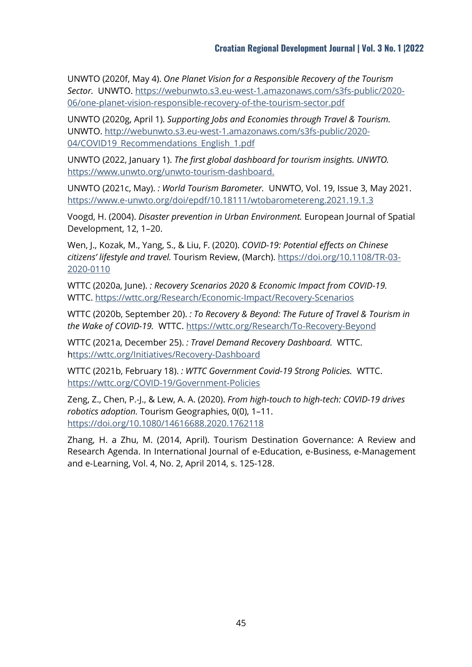UNWTO (2020f, May 4). *One Planet Vision for a Responsible Recovery of the Tourism Sector.* UNWTO. https://webunwto.s3.eu-west-1.amazonaws.com/s3fs-public/2020- 06/one-planet-vision-responsible-recovery-of-the-tourism-sector.pdf

UNWTO (2020g, April 1). *Supporting Jobs and Economies through Travel & Tourism.*  UNWTO. http://webunwto.s3.eu-west-1.amazonaws.com/s3fs-public/2020- 04/COVID19\_Recommendations\_English\_1.pdf

UNWTO (2022, January 1). *The first global dashboard for tourism insights. UNWTO.*  [https://www.unwto.org/unwto-tourism-dashboard.](https://www.unwto.org/unwto-tourism-dashboard)

UNWTO (2021c, May). *: World Tourism Barometer.* UNWTO, Vol. 19, Issue 3, May 2021. https://www.e-unwto.org/doi/epdf/10.18111/wtobarometereng.2021.19.1.3

Voogd, H. (2004). *Disaster prevention in Urban Environment.* European Journal of Spatial Development, 12, 1–20.

Wen, J., Kozak, M., Yang, S., & Liu, F. (2020). *COVID-19: Potential effects on Chinese citizens' lifestyle and travel.* Tourism Review, (March). [https://doi.org/10.1108/TR-03-](https://doi.org/10.1108/TR-03-2020-0110) [2020-0110](https://doi.org/10.1108/TR-03-2020-0110) 

WTTC (2020a, June). *: Recovery Scenarios 2020 & Economic Impact from COVID-19.*  WTTC. https://wttc.org/Research/Economic-Impact/Recovery-Scenarios

WTTC (2020b, September 20). *: To Recovery & Beyond: The Future of Travel & Tourism in the Wake of COVID-19.* WTTC. https://wttc.org/Research/To-Recovery-Beyond

WTTC (2021a, December 25). *: Travel Demand Recovery Dashboard.* WTTC. https://wttc.org/Initiatives/Recovery-Dashboard

WTTC (2021b, February 18). *: WTTC Government Covid-19 Strong Policies.* WTTC. <https://wttc.org/COVID-19/Government-Policies>

Zeng, Z., Chen, P.-J., & Lew, A. A. (2020). *From high-touch to high-tech: COVID-19 drives robotics adoption.* Tourism Geographies, 0(0), 1–11. <https://doi.org/10.1080/14616688.2020.1762118>

Zhang, H. a Zhu, M. (2014, April). Tourism Destination Governance: A Review and Research Agenda. In International Journal of e-Education, e-Business, e-Management and e-Learning, Vol. 4, No. 2, April 2014, s. 125-128.